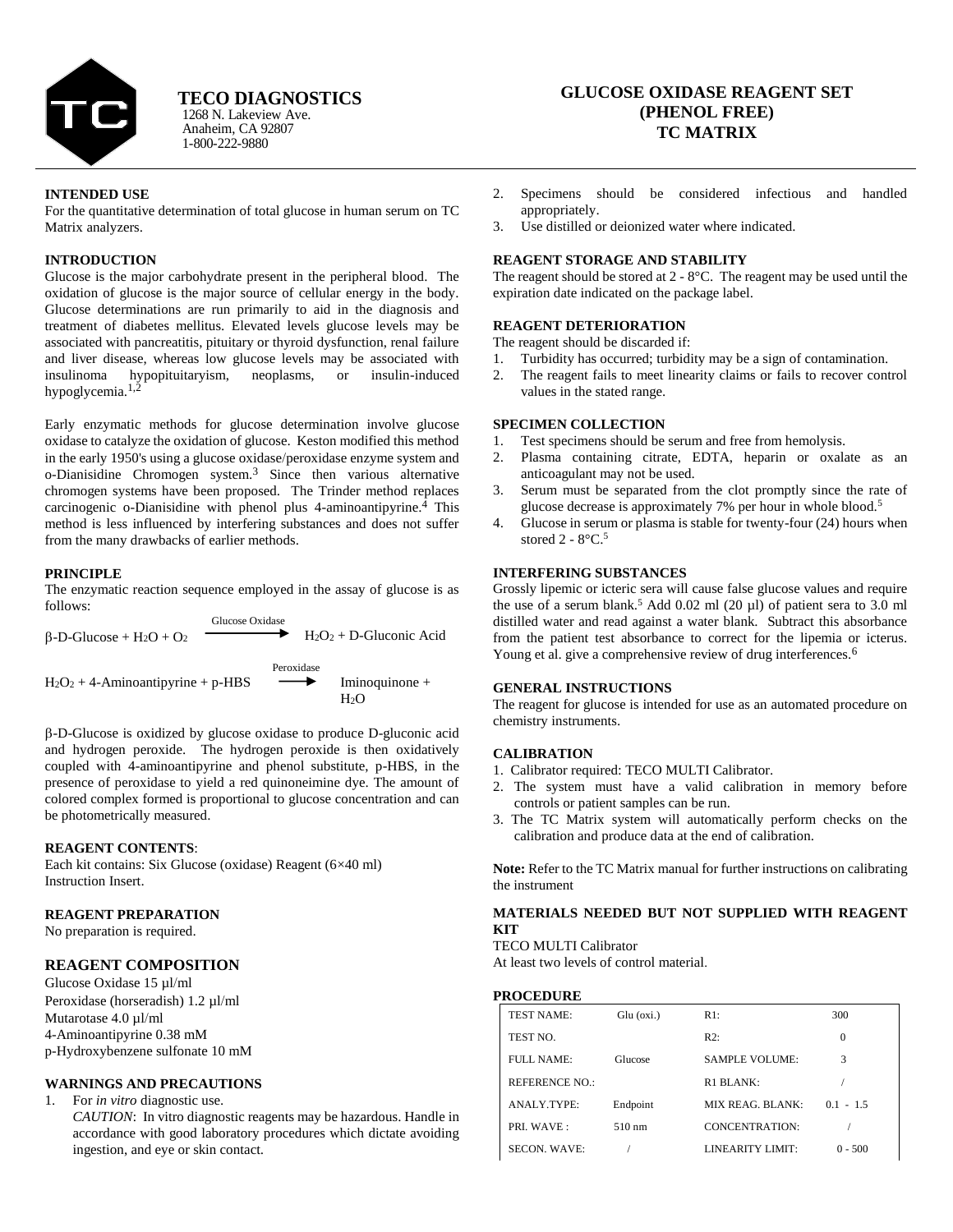

Anaheim, CA 92807 1-800-222-9880 1268 N. Lakeview Ave. **TECO DIAGNOSTICS**

# **GLUCOSE OXIDASE REAGENT SET (PHENOL FREE) TC MATRIX**

#### **INTENDED USE**

For the quantitative determination of total glucose in human serum on TC Matrix analyzers.

#### **INTRODUCTION**

Glucose is the major carbohydrate present in the peripheral blood. The oxidation of glucose is the major source of cellular energy in the body. Glucose determinations are run primarily to aid in the diagnosis and treatment of diabetes mellitus. Elevated levels glucose levels may be associated with pancreatitis, pituitary or thyroid dysfunction, renal failure and liver disease, whereas low glucose levels may be associated with insulinoma hypopituitaryism, neoplasms, or insulin-induced hypoglycemia.<sup>1,2</sup>

Early enzymatic methods for glucose determination involve glucose oxidase to catalyze the oxidation of glucose. Keston modified this method in the early 1950's using a glucose oxidase/peroxidase enzyme system and o-Dianisidine Chromogen system.<sup>3</sup> Since then various alternative chromogen systems have been proposed. The Trinder method replaces carcinogenic o-Dianisidine with phenol plus 4-aminoantipyrine.<sup>4</sup> This method is less influenced by interfering substances and does not suffer from the many drawbacks of earlier methods.

#### **PRINCIPLE**

The enzymatic reaction sequence employed in the assay of glucose is as follows:

Glucose Oxidase  $B-D-Glu\cos\theta + H_2O + O_2$   $H_2O_2 + D-Glu\cos\theta$  Acid Peroxidase  $H_2O_2 + 4$ -Aminoantipyrine + p-HBS Iminoquinone +  $H<sub>2</sub>O$ 

-D-Glucose is oxidized by glucose oxidase to produce D-gluconic acid and hydrogen peroxide. The hydrogen peroxide is then oxidatively coupled with 4-aminoantipyrine and phenol substitute, p-HBS, in the presence of peroxidase to yield a red quinoneimine dye. The amount of colored complex formed is proportional to glucose concentration and can be photometrically measured.

#### **REAGENT CONTENTS**:

Each kit contains: Six Glucose (oxidase) Reagent (6×40 ml) Instruction Insert.

### **REAGENT PREPARATION**

No preparation is required.

## **REAGENT COMPOSITION**

Glucose Oxidase 15 µl/ml Peroxidase (horseradish) 1.2 µl/ml Mutarotase  $4.0 \mu$ l/ml 4-Aminoantipyrine 0.38 mM p-Hydroxybenzene sulfonate 10 mM

### **WARNINGS AND PRECAUTIONS**

1. For *in vitro* diagnostic use. *CAUTION*: In vitro diagnostic reagents may be hazardous. Handle in accordance with good laboratory procedures which dictate avoiding ingestion, and eye or skin contact.

- 2. Specimens should be considered infectious and handled appropriately.
- 3. Use distilled or deionized water where indicated.

#### **REAGENT STORAGE AND STABILITY**

The reagent should be stored at 2 - 8°C. The reagent may be used until the expiration date indicated on the package label.

# **REAGENT DETERIORATION**

The reagent should be discarded if:

- 1. Turbidity has occurred; turbidity may be a sign of contamination.
- 2. The reagent fails to meet linearity claims or fails to recover control values in the stated range.

#### **SPECIMEN COLLECTION**

- 1. Test specimens should be serum and free from hemolysis.
- 2. Plasma containing citrate, EDTA, heparin or oxalate as an anticoagulant may not be used.
- 3. Serum must be separated from the clot promptly since the rate of glucose decrease is approximately 7% per hour in whole blood.<sup>5</sup>
- 4. Glucose in serum or plasma is stable for twenty-four (24) hours when stored  $2 - 8$ °C.<sup>5</sup>

# **INTERFERING SUBSTANCES**

Grossly lipemic or icteric sera will cause false glucose values and require the use of a serum blank.<sup>5</sup> Add 0.02 ml (20 µl) of patient sera to 3.0 ml distilled water and read against a water blank. Subtract this absorbance from the patient test absorbance to correct for the lipemia or icterus. Young et al. give a comprehensive review of drug interferences.<sup>6</sup>

#### **GENERAL INSTRUCTIONS**

The reagent for glucose is intended for use as an automated procedure on chemistry instruments.

### **CALIBRATION**

- 1. Calibrator required: TECO MULTI Calibrator.
- 2. The system must have a valid calibration in memory before controls or patient samples can be run.
- 3. The TC Matrix system will automatically perform checks on the calibration and produce data at the end of calibration.

**Note:** Refer to the TC Matrix manual for further instructions on calibrating the instrument

# **MATERIALS NEEDED BUT NOT SUPPLIED WITH REAGENT KIT**

TECO MULTI Calibrator

At least two levels of control material.

### **PROCEDURE**

| <b>TEST NAME:</b>     | $Glu$ ( $oxi$ .) | R1:                   | 300         |
|-----------------------|------------------|-----------------------|-------------|
| TEST NO.              |                  | R2:                   | $\theta$    |
| FULL NAME:            | Glucose          | <b>SAMPLE VOLUME:</b> | 3           |
| <b>REFERENCE NO.:</b> |                  | R1 BLANK:             |             |
| ANALY.TYPE:           | Endpoint         | MIX REAG. BLANK:      | $0.1 - 1.5$ |
| PRI. WAVE:            | $510 \text{ nm}$ | CONCENTRATION:        |             |
| <b>SECON. WAVE:</b>   |                  | LINEARITY LIMIT:      | $0 - 500$   |